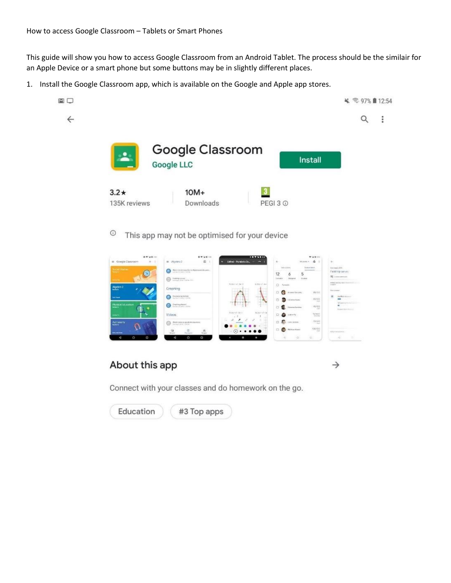$\square$ 

 $\leftarrow$ 

This guide will show you how to access Google Classroom from an Android Tablet. The process should be the similair for an Apple Device or a smart phone but some buttons may be in slightly different places.

1. Install the Google Classroom app, which is available on the Google and Apple app stores.



 $\odot$ This app may not be optimised for your device



## About this app

 $\rightarrow$ 

Connect with your classes and do homework on the go.

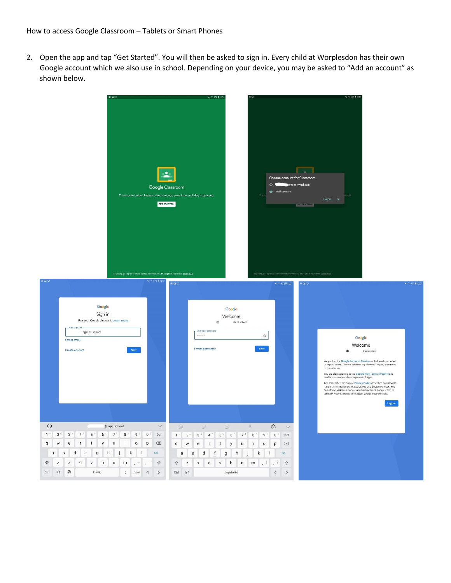2. Open the app and tap "Get Started". You will then be asked to sign in. Every child at Worplesdon has their own Google account which we also use in school. Depending on your device, you may be asked to "Add an account" as shown below.

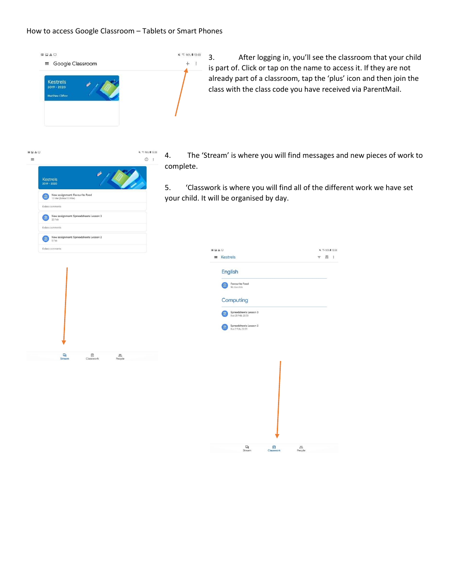## How to access Google Classroom – Tablets or Smart Phones

 $\leq 965$  8 13:00

 $+$   $\frac{3}{4}$ 



3. After logging in, you'll see the classroom that your child is part of. Click or tap on the name to access it. If they are not already part of a classroom, tap the 'plus' icon and then join the class with the class code you have received via ParentMail.



 $\begin{tabular}{c} \hline \end{tabular} \begin{tabular}{c} \hline \end{tabular} \begin{tabular}{c} \hline \end{tabular}$ 

 $rac{23}{\text{People}}$ 

 $\Box$ <br>Stream

- 4. The 'Stream' is where you will find messages and new pieces of work to complete.
- 5. 'Classwork is where you will find all of the different work we have set your child. It will be organised by day.

| GEAD                                            | ¥ %96% #13:00 |
|-------------------------------------------------|---------------|
| $\equiv$ Kestrels                               | 图 :<br>F.     |
| English                                         |               |
| Favourite Food<br>No due date                   |               |
| Computing                                       |               |
| Spreadsheets Lesson 3<br>皀<br>Due 28 Feb, 23:59 |               |
| Spreadsheets Lesson 2<br>F<br>Due 7 Feb, 23:59  |               |
|                                                 |               |
|                                                 |               |
|                                                 |               |
|                                                 |               |
|                                                 |               |
|                                                 |               |
|                                                 |               |
|                                                 |               |
| 曰<br>自                                          | 2             |
| Stream<br>Classwork                             | People        |